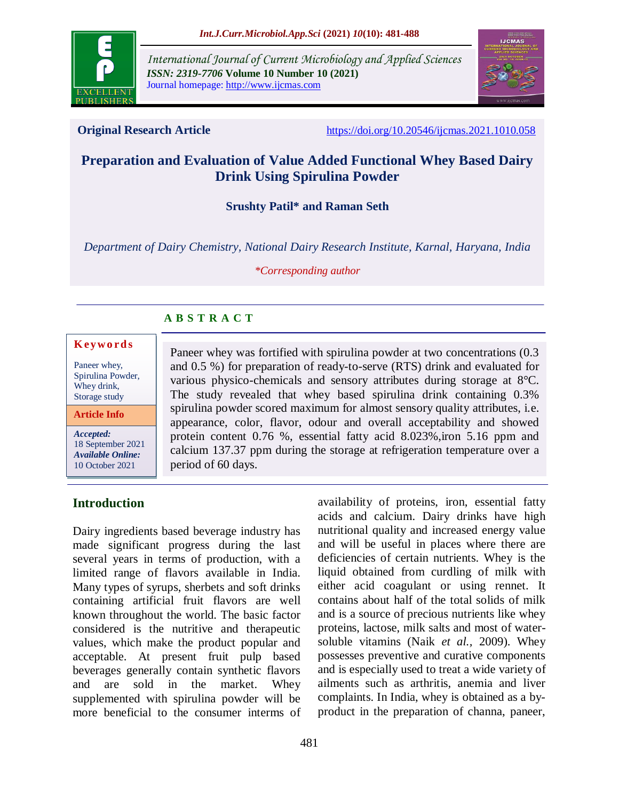

*International Journal of Current Microbiology and Applied Sciences ISSN: 2319-7706* **Volume 10 Number 10 (2021)**  Journal homepage: http://www.ijcmas.com



**Original Research Article** <https://doi.org/10.20546/ijcmas.2021.1010.058>

# **Preparation and Evaluation of Value Added Functional Whey Based Dairy Drink Using Spirulina Powder**

**Srushty Patil\* and Raman Seth**

*Department of Dairy Chemistry, National Dairy Research Institute, Karnal, Haryana, India*

*\*Corresponding author*

Paneer whey was fortified with spirulina powder at two concentrations (0.3 and 0.5 %) for preparation of ready-to-serve (RTS) drink and evaluated for various physico-chemicals and sensory attributes during storage at 8°C. The study revealed that whey based spirulina drink containing 0.3% spirulina powder scored maximum for almost sensory quality attributes, i.e. appearance, color, flavor, odour and overall acceptability and showed protein content 0.76 %, essential fatty acid 8.023%, iron 5.16 ppm and calcium 137.37 ppm during the storage at refrigeration temperature over a

## **A B S T R A C T**

period of 60 days.

#### **K ey w o rd s**

Paneer whey, Spirulina Powder, Whey drink, Storage study

**Article Info**

*Accepted:*  18 September 2021 *Available Online:* 10 October 2021

## **Introduction**

Dairy ingredients based beverage industry has made significant progress during the last several years in terms of production, with a limited range of flavors available in India. Many types of syrups, sherbets and soft drinks containing artificial fruit flavors are well known throughout the world. The basic factor considered is the nutritive and therapeutic values, which make the product popular and acceptable. At present fruit pulp based beverages generally contain synthetic flavors and are sold in the market. Whey supplemented with spirulina powder will be more beneficial to the consumer interms of

availability of proteins, iron, essential fatty acids and calcium. Dairy drinks have high nutritional quality and increased energy value and will be useful in places where there are deficiencies of certain nutrients. Whey is the liquid obtained from curdling of milk with either acid coagulant or using rennet. It contains about half of the total solids of milk and is a source of precious nutrients like whey proteins, lactose, milk salts and most of watersoluble vitamins (Naik *et al.,* 2009). Whey possesses preventive and curative components and is especially used to treat a wide variety of ailments such as arthritis, anemia and liver complaints. In India, whey is obtained as a byproduct in the preparation of channa, paneer,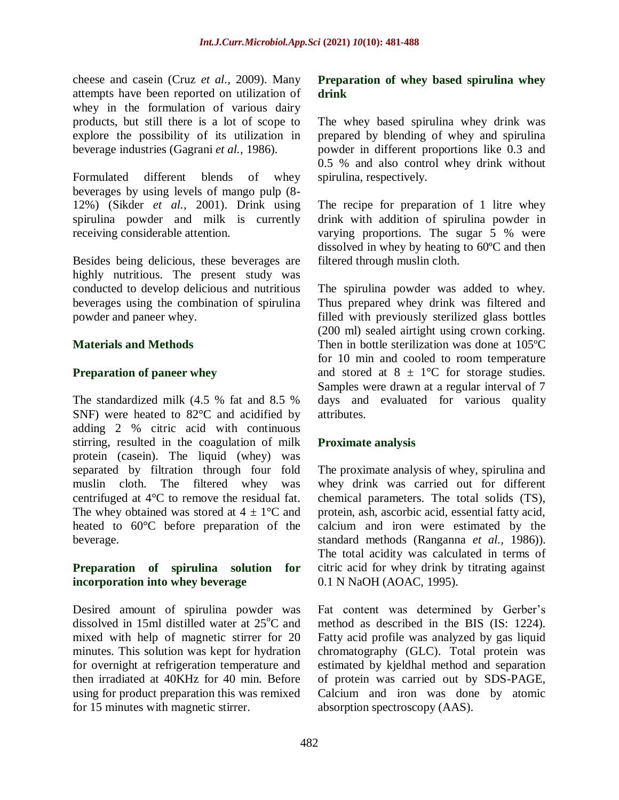cheese and casein (Cruz *et al.,* 2009). Many attempts have been reported on utilization of whey in the formulation of various dairy products, but still there is a lot of scope to explore the possibility of its utilization in beverage industries (Gagrani *et al.,* 1986).

Formulated different blends of whey beverages by using levels of mango pulp (8- 12%) (Sikder *et al.,* 2001). Drink using spirulina powder and milk is currently receiving considerable attention.

Besides being delicious, these beverages are highly nutritious. The present study was conducted to develop delicious and nutritious beverages using the combination of spirulina powder and paneer whey.

## **Materials and Methods**

## **Preparation of paneer whey**

The standardized milk (4.5 % fat and 8.5 % SNF) were heated to 82°C and acidified by adding 2 % citric acid with continuous stirring, resulted in the coagulation of milk protein (casein). The liquid (whey) was separated by filtration through four fold muslin cloth. The filtered whey was centrifuged at 4°C to remove the residual fat. The whey obtained was stored at  $4 \pm 1$ °C and heated to 60°C before preparation of the beverage.

## **Preparation of spirulina solution for incorporation into whey beverage**

Desired amount of spirulina powder was dissolved in 15ml distilled water at  $25^{\circ}$ C and mixed with help of magnetic stirrer for 20 minutes. This solution was kept for hydration for overnight at refrigeration temperature and then irradiated at 40KHz for 40 min. Before using for product preparation this was remixed for 15 minutes with magnetic stirrer.

## **Preparation of whey based spirulina whey drink**

The whey based spirulina whey drink was prepared by blending of whey and spirulina powder in different proportions like 0.3 and 0.5 % and also control whey drink without spirulina, respectively.

The recipe for preparation of 1 litre whey drink with addition of spirulina powder in varying proportions. The sugar 5 % were dissolved in whey by heating to 60ºC and then filtered through muslin cloth.

The spirulina powder was added to whey. Thus prepared whey drink was filtered and filled with previously sterilized glass bottles (200 ml) sealed airtight using crown corking. Then in bottle sterilization was done at 105ºC for 10 min and cooled to room temperature and stored at  $8 \pm 1$ °C for storage studies. Samples were drawn at a regular interval of 7 days and evaluated for various quality attributes.

## **Proximate analysis**

The proximate analysis of whey, spirulina and whey drink was carried out for different chemical parameters. The total solids (TS), protein, ash, ascorbic acid, essential fatty acid, calcium and iron were estimated by the standard methods (Ranganna *et al.,* 1986)). The total acidity was calculated in terms of citric acid for whey drink by titrating against 0.1 N NaOH (AOAC, 1995).

Fat content was determined by Gerber's method as described in the BIS (IS: 1224). Fatty acid profile was analyzed by gas liquid chromatography (GLC). Total protein was estimated by kjeldhal method and separation of protein was carried out by SDS-PAGE, Calcium and iron was done by atomic absorption spectroscopy (AAS).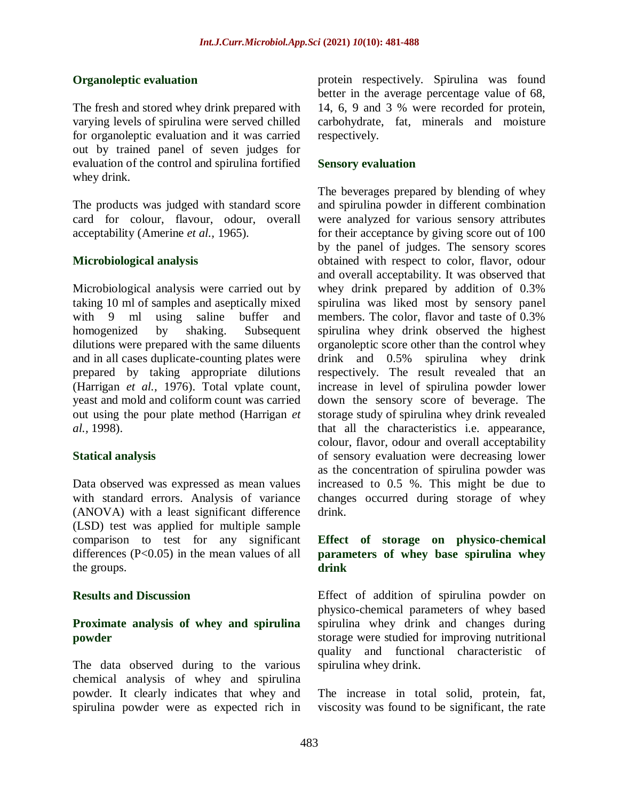## **Organoleptic evaluation**

The fresh and stored whey drink prepared with varying levels of spirulina were served chilled for organoleptic evaluation and it was carried out by trained panel of seven judges for evaluation of the control and spirulina fortified whey drink.

The products was judged with standard score card for colour, flavour, odour, overall acceptability (Amerine *et al.,* 1965).

### **Microbiological analysis**

Microbiological analysis were carried out by taking 10 ml of samples and aseptically mixed with 9 ml using saline buffer and homogenized by shaking. Subsequent dilutions were prepared with the same diluents and in all cases duplicate-counting plates were prepared by taking appropriate dilutions (Harrigan *et al.,* 1976). Total vplate count, yeast and mold and coliform count was carried out using the pour plate method (Harrigan *et al.,* 1998).

### **Statical analysis**

Data observed was expressed as mean values with standard errors. Analysis of variance (ANOVA) with a least significant difference (LSD) test was applied for multiple sample comparison to test for any significant differences (P<0.05) in the mean values of all the groups.

#### **Results and Discussion**

## **Proximate analysis of whey and spirulina powder**

The data observed during to the various chemical analysis of whey and spirulina powder. It clearly indicates that whey and spirulina powder were as expected rich in protein respectively. Spirulina was found better in the average percentage value of 68, 14, 6, 9 and 3 % were recorded for protein, carbohydrate, fat, minerals and moisture respectively.

#### **Sensory evaluation**

The beverages prepared by blending of whey and spirulina powder in different combination were analyzed for various sensory attributes for their acceptance by giving score out of 100 by the panel of judges. The sensory scores obtained with respect to color, flavor, odour and overall acceptability. It was observed that whey drink prepared by addition of 0.3% spirulina was liked most by sensory panel members. The color, flavor and taste of 0.3% spirulina whey drink observed the highest organoleptic score other than the control whey drink and 0.5% spirulina whey drink respectively. The result revealed that an increase in level of spirulina powder lower down the sensory score of beverage. The storage study of spirulina whey drink revealed that all the characteristics i.e. appearance, colour, flavor, odour and overall acceptability of sensory evaluation were decreasing lower as the concentration of spirulina powder was increased to 0.5 %. This might be due to changes occurred during storage of whey drink.

## **Effect of storage on physico-chemical parameters of whey base spirulina whey drink**

Effect of addition of spirulina powder on physico-chemical parameters of whey based spirulina whey drink and changes during storage were studied for improving nutritional quality and functional characteristic of spirulina whey drink.

The increase in total solid, protein, fat, viscosity was found to be significant, the rate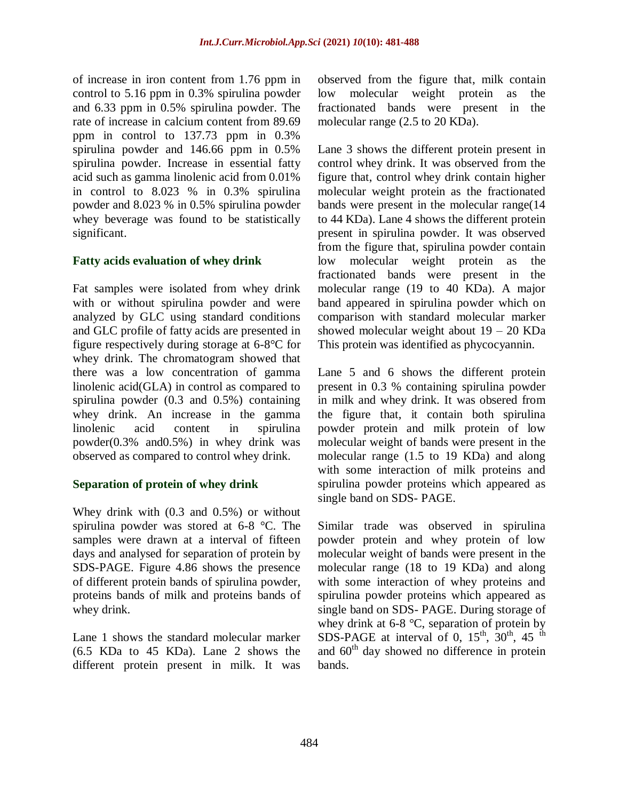of increase in iron content from 1.76 ppm in control to 5.16 ppm in 0.3% spirulina powder and 6.33 ppm in 0.5% spirulina powder. The rate of increase in calcium content from 89.69 ppm in control to 137.73 ppm in 0.3% spirulina powder and 146.66 ppm in 0.5% spirulina powder. Increase in essential fatty acid such as gamma linolenic acid from 0.01% in control to 8.023 % in 0.3% spirulina powder and 8.023 % in 0.5% spirulina powder whey beverage was found to be statistically significant.

## **Fatty acids evaluation of whey drink**

Fat samples were isolated from whey drink with or without spirulina powder and were analyzed by GLC using standard conditions and GLC profile of fatty acids are presented in figure respectively during storage at 6-8°C for whey drink. The chromatogram showed that there was a low concentration of gamma linolenic acid(GLA) in control as compared to spirulina powder (0.3 and 0.5%) containing whey drink. An increase in the gamma linolenic acid content in spirulina powder(0.3% and0.5%) in whey drink was observed as compared to control whey drink.

## **Separation of protein of whey drink**

Whey drink with (0.3 and 0.5%) or without spirulina powder was stored at 6-8 °C. The samples were drawn at a interval of fifteen days and analysed for separation of protein by SDS-PAGE. Figure 4.86 shows the presence of different protein bands of spirulina powder, proteins bands of milk and proteins bands of whey drink.

Lane 1 shows the standard molecular marker (6.5 KDa to 45 KDa). Lane 2 shows the different protein present in milk. It was observed from the figure that, milk contain low molecular weight protein as the fractionated bands were present in the molecular range (2.5 to 20 KDa).

Lane 3 shows the different protein present in control whey drink. It was observed from the figure that, control whey drink contain higher molecular weight protein as the fractionated bands were present in the molecular range(14 to 44 KDa). Lane 4 shows the different protein present in spirulina powder. It was observed from the figure that, spirulina powder contain low molecular weight protein as the fractionated bands were present in the molecular range (19 to 40 KDa). A major band appeared in spirulina powder which on comparison with standard molecular marker showed molecular weight about 19 – 20 KDa This protein was identified as phycocyannin.

Lane 5 and 6 shows the different protein present in 0.3 % containing spirulina powder in milk and whey drink. It was obsered from the figure that, it contain both spirulina powder protein and milk protein of low molecular weight of bands were present in the molecular range (1.5 to 19 KDa) and along with some interaction of milk proteins and spirulina powder proteins which appeared as single band on SDS- PAGE.

Similar trade was observed in spirulina powder protein and whey protein of low molecular weight of bands were present in the molecular range (18 to 19 KDa) and along with some interaction of whey proteins and spirulina powder proteins which appeared as single band on SDS- PAGE. During storage of whey drink at 6-8 °C, separation of protein by SDS-PAGE at interval of 0,  $15^{th}$ ,  $30^{th}$ ,  $45^{th}$ and  $60<sup>th</sup>$  day showed no difference in protein bands.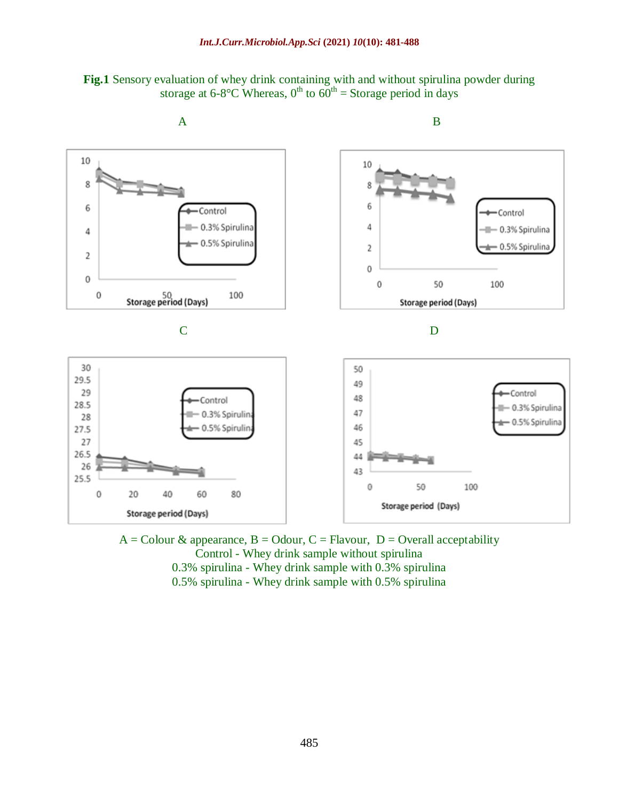



 $A =$ Colour & appearance,  $B =$ Odour,  $C =$  Flavour,  $D =$ Overall acceptability Control - Whey drink sample without spirulina 0.3% spirulina - Whey drink sample with 0.3% spirulina 0.5% spirulina - Whey drink sample with 0.5% spirulina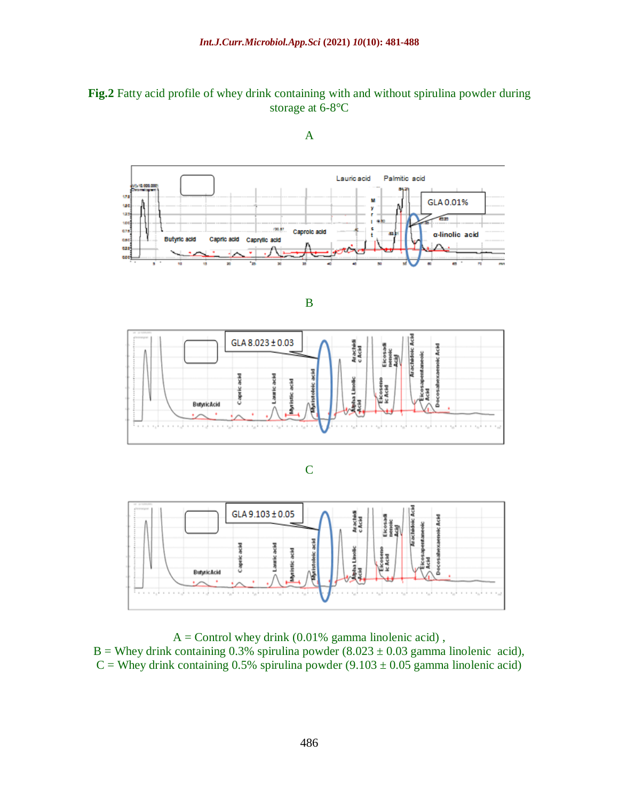## **Fig.2** Fatty acid profile of whey drink containing with and without spirulina powder during storage at 6-8°C



A

B







 $A =$  Control whey drink (0.01% gamma linolenic acid), B = Whey drink containing 0.3% spirulina powder  $(8.023 \pm 0.03$  gamma linolenic acid),  $C =$  Whey drink containing 0.5% spirulina powder (9.103  $\pm$  0.05 gamma linolenic acid)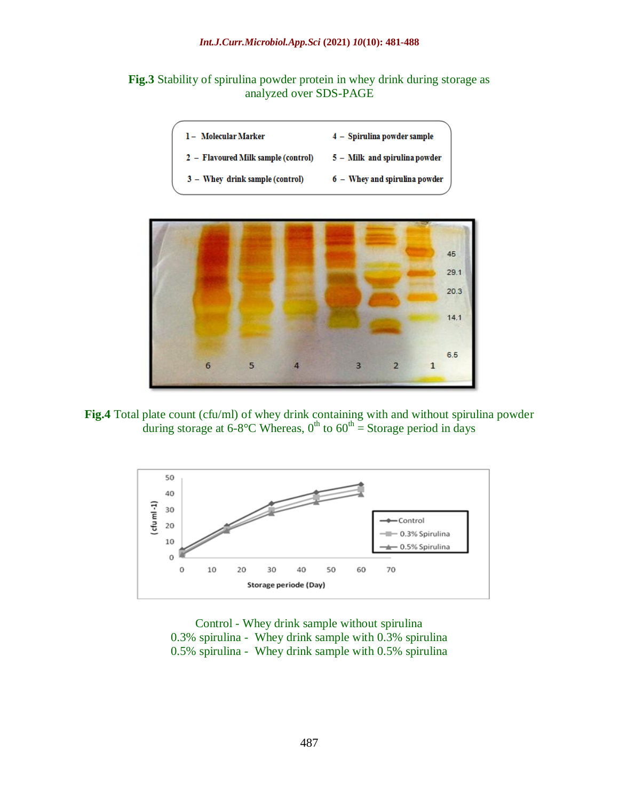

| 1- Molecular Marker                 | 4 - Spirulina powder sample                  |
|-------------------------------------|----------------------------------------------|
| 2 - Flavoured Milk sample (control) | $\sqrt{5}$ – $\sqrt{M}$ and spirulina powder |
| 3 - Whey drink sample (control)     | 6 - Whey and spirulina powder                |



**Fig.4** Total plate count (cfu/ml) of whey drink containing with and without spirulina powder during storage at 6-8°C Whereas,  $0^{th}$  to  $60^{th}$  = Storage period in days



Control - Whey drink sample without spirulina 0.3% spirulina - Whey drink sample with 0.3% spirulina 0.5% spirulina - Whey drink sample with 0.5% spirulina